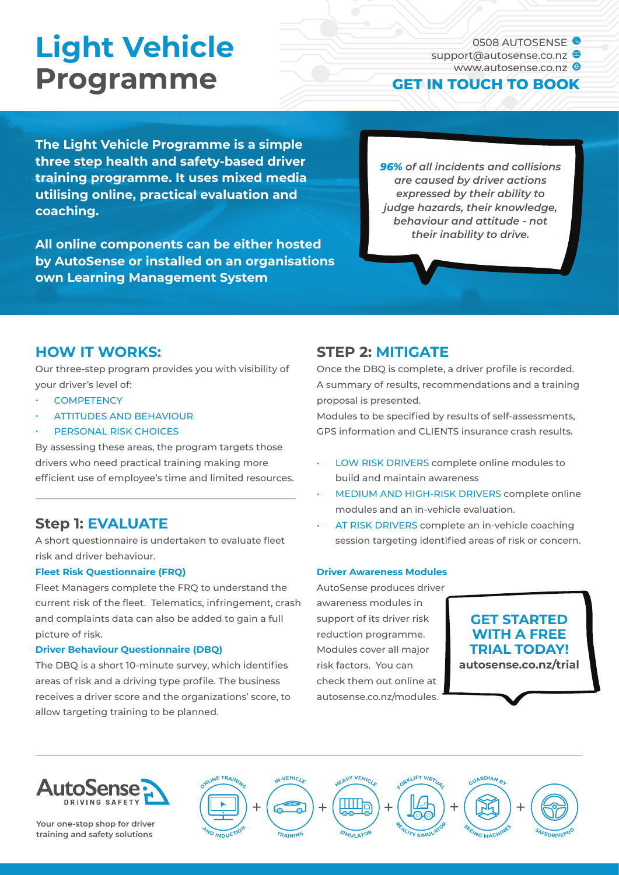# **Light Vehicle Programme**

0508 AUTOSENSE<sup>S</sup> support@autosense.co.nz www.autosense.co.nz @

### **GET IN TOUCH TO BOOK**

**The Light Vehicle Programme is a simple three step health and safety-based driver training programme. It uses mixed media utilising online, practical evaluation and coaching.** 

**All online components can be either hosted by AutoSense or installed on an organisations own Learning Management System**

*96% of all incidents and collisions are caused by driver actions expressed by their ability to judge hazards, their knowledge, behaviour and attitude - not their inability to drive.*

## **HOW IT WORKS:**

Our three-step program provides you with visibility of your driver's level of:

- **COMPETENCY**
- ATTITUDES AND BEHAVIOUR
- PERSONAL RISK CHOICES

By assessing these areas, the program targets those drivers who need practical training making more efficient use of employee's time and limited resources.

## **Step 1: EVALUATE**

A short questionnaire is undertaken to evaluate fleet risk and driver behaviour.

#### **Fleet Risk Questionnaire (FRQ)**

Fleet Managers complete the FRQ to understand the current risk of the fleet. Telematics, infringement, crash and complaints data can also be added to gain a full picture of risk.

#### **Driver Behaviour Questionnaire (DBQ)**

The DBQ is a short 10-minute survey, which identifies areas of risk and a driving type profile. The business receives a driver score and the organizations' score, to allow targeting training to be planned.

## **STEP 2: MITIGATE**

Once the DBQ is complete, a driver profile is recorded. A summary of results, recommendations and a training proposal is presented.

Modules to be specified by results of self-assessments, GPS information and CLIENTS insurance crash results.

- LOW RISK DRIVERS complete online modules to build and maintain awareness
- MEDIUM AND HIGH-RISK DRIVERS complete online modules and an in-vehicle evaluation.
- AT RISK DRIVERS complete an in-vehicle coaching session targeting identified areas of risk or concern.

#### **Driver Awareness Modules**

AutoSense produces driver awareness modules in support of its driver risk reduction programme. Modules cover all major risk factors. You can check them out online at autosense.co.nz/modules.

## **GET STARTED WITH A FREE TRIAL TODAY!**

**autosense.co.nz/trial**